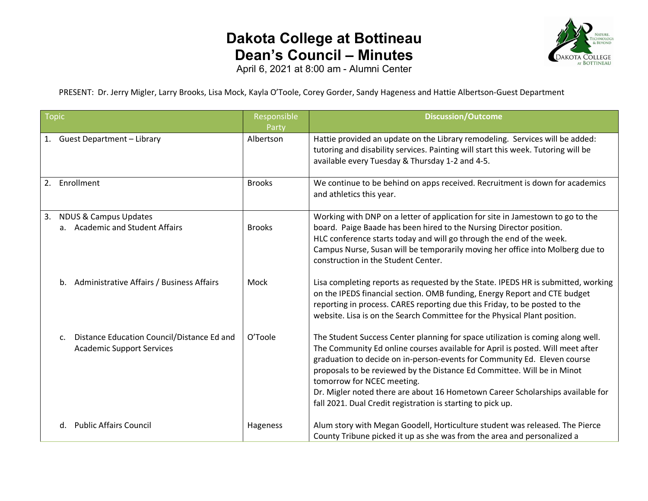## **Dakota College at Bottineau Dean's Council – Minutes**



April 6, 2021 at 8:00 am - Alumni Center

PRESENT: Dr. Jerry Migler, Larry Brooks, Lisa Mock, Kayla O'Toole, Corey Gorder, Sandy Hageness and Hattie Albertson-Guest Department

| <b>Topic</b>     |                                                                                | Responsible<br>Party | <b>Discussion/Outcome</b>                                                                                                                                                                                                                                                                                                                                                                                                                                                                               |
|------------------|--------------------------------------------------------------------------------|----------------------|---------------------------------------------------------------------------------------------------------------------------------------------------------------------------------------------------------------------------------------------------------------------------------------------------------------------------------------------------------------------------------------------------------------------------------------------------------------------------------------------------------|
|                  | 1. Guest Department - Library                                                  | Albertson            | Hattie provided an update on the Library remodeling. Services will be added:<br>tutoring and disability services. Painting will start this week. Tutoring will be<br>available every Tuesday & Thursday 1-2 and 4-5.                                                                                                                                                                                                                                                                                    |
| Enrollment<br>2. |                                                                                | <b>Brooks</b>        | We continue to be behind on apps received. Recruitment is down for academics<br>and athletics this year.                                                                                                                                                                                                                                                                                                                                                                                                |
| 3.               | <b>NDUS &amp; Campus Updates</b><br>a. Academic and Student Affairs            | <b>Brooks</b>        | Working with DNP on a letter of application for site in Jamestown to go to the<br>board. Paige Baade has been hired to the Nursing Director position.<br>HLC conference starts today and will go through the end of the week.<br>Campus Nurse, Susan will be temporarily moving her office into Molberg due to<br>construction in the Student Center.                                                                                                                                                   |
|                  | b. Administrative Affairs / Business Affairs                                   | Mock                 | Lisa completing reports as requested by the State. IPEDS HR is submitted, working<br>on the IPEDS financial section. OMB funding, Energy Report and CTE budget<br>reporting in process. CARES reporting due this Friday, to be posted to the<br>website. Lisa is on the Search Committee for the Physical Plant position.                                                                                                                                                                               |
| $\mathsf{C}$ .   | Distance Education Council/Distance Ed and<br><b>Academic Support Services</b> | O'Toole              | The Student Success Center planning for space utilization is coming along well.<br>The Community Ed online courses available for April is posted. Will meet after<br>graduation to decide on in-person-events for Community Ed. Eleven course<br>proposals to be reviewed by the Distance Ed Committee. Will be in Minot<br>tomorrow for NCEC meeting.<br>Dr. Migler noted there are about 16 Hometown Career Scholarships available for<br>fall 2021. Dual Credit registration is starting to pick up. |
|                  | d. Public Affairs Council                                                      | Hageness             | Alum story with Megan Goodell, Horticulture student was released. The Pierce<br>County Tribune picked it up as she was from the area and personalized a                                                                                                                                                                                                                                                                                                                                                 |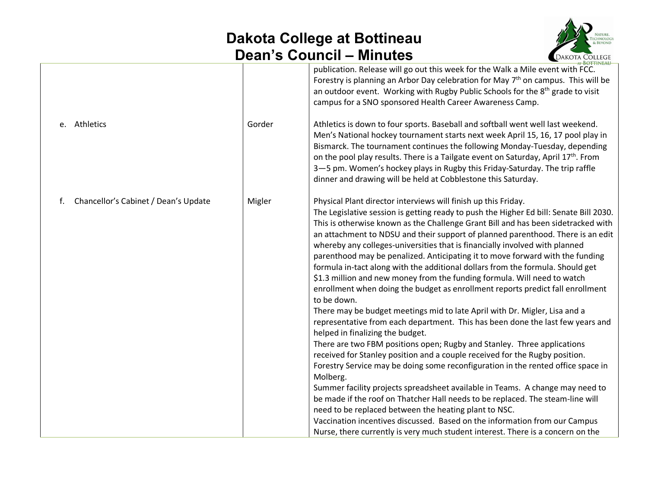## **Dakota College at Bottineau Dean's Council – Minutes**



| e. Athletics                               | Gorder | <u>BOTTINEAU</u><br>publication. Release will go out this week for the Walk a Mile event with FCC.<br>Forestry is planning an Arbor Day celebration for May 7 <sup>th</sup> on campus. This will be<br>an outdoor event. Working with Rugby Public Schools for the 8 <sup>th</sup> grade to visit<br>campus for a SNO sponsored Health Career Awareness Camp.<br>Athletics is down to four sports. Baseball and softball went well last weekend.                                                                                                                                                                                                                                                                                                                                                                                                                                                                                                                                                                                                                                                                                                                                                                                                                                                                                                                                                                                                                                                                                                                                                                           |
|--------------------------------------------|--------|----------------------------------------------------------------------------------------------------------------------------------------------------------------------------------------------------------------------------------------------------------------------------------------------------------------------------------------------------------------------------------------------------------------------------------------------------------------------------------------------------------------------------------------------------------------------------------------------------------------------------------------------------------------------------------------------------------------------------------------------------------------------------------------------------------------------------------------------------------------------------------------------------------------------------------------------------------------------------------------------------------------------------------------------------------------------------------------------------------------------------------------------------------------------------------------------------------------------------------------------------------------------------------------------------------------------------------------------------------------------------------------------------------------------------------------------------------------------------------------------------------------------------------------------------------------------------------------------------------------------------|
|                                            |        | Men's National hockey tournament starts next week April 15, 16, 17 pool play in<br>Bismarck. The tournament continues the following Monday-Tuesday, depending<br>on the pool play results. There is a Tailgate event on Saturday, April 17 <sup>th</sup> . From<br>3-5 pm. Women's hockey plays in Rugby this Friday-Saturday. The trip raffle<br>dinner and drawing will be held at Cobblestone this Saturday.                                                                                                                                                                                                                                                                                                                                                                                                                                                                                                                                                                                                                                                                                                                                                                                                                                                                                                                                                                                                                                                                                                                                                                                                            |
| f.<br>Chancellor's Cabinet / Dean's Update | Migler | Physical Plant director interviews will finish up this Friday.<br>The Legislative session is getting ready to push the Higher Ed bill: Senate Bill 2030.<br>This is otherwise known as the Challenge Grant Bill and has been sidetracked with<br>an attachment to NDSU and their support of planned parenthood. There is an edit<br>whereby any colleges-universities that is financially involved with planned<br>parenthood may be penalized. Anticipating it to move forward with the funding<br>formula in-tact along with the additional dollars from the formula. Should get<br>\$1.3 million and new money from the funding formula. Will need to watch<br>enrollment when doing the budget as enrollment reports predict fall enrollment<br>to be down.<br>There may be budget meetings mid to late April with Dr. Migler, Lisa and a<br>representative from each department. This has been done the last few years and<br>helped in finalizing the budget.<br>There are two FBM positions open; Rugby and Stanley. Three applications<br>received for Stanley position and a couple received for the Rugby position.<br>Forestry Service may be doing some reconfiguration in the rented office space in<br>Molberg.<br>Summer facility projects spreadsheet available in Teams. A change may need to<br>be made if the roof on Thatcher Hall needs to be replaced. The steam-line will<br>need to be replaced between the heating plant to NSC.<br>Vaccination incentives discussed. Based on the information from our Campus<br>Nurse, there currently is very much student interest. There is a concern on the |